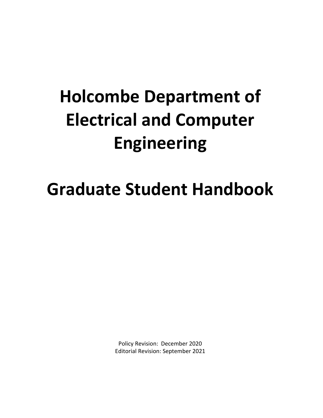# **Holcombe Department of Electrical and Computer Engineering**

# **Graduate Student Handbook**

Policy Revision: December 2020 Editorial Revision: September 2021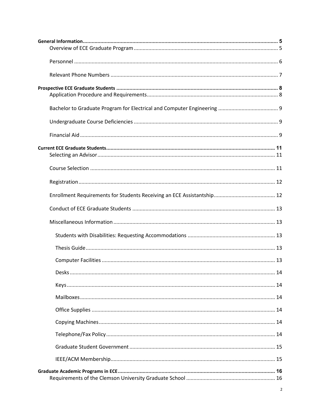| Desks.<br>14 |
|--------------|
|              |
|              |
|              |
|              |
|              |
|              |
|              |
|              |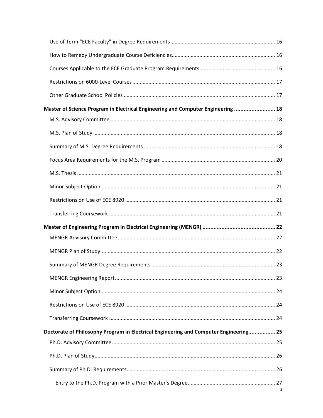| Master of Science Program in Electrical Engineering and Computer Engineering  18 |                                                                                       |   |  |  |
|----------------------------------------------------------------------------------|---------------------------------------------------------------------------------------|---|--|--|
|                                                                                  |                                                                                       |   |  |  |
|                                                                                  |                                                                                       |   |  |  |
|                                                                                  |                                                                                       |   |  |  |
|                                                                                  |                                                                                       |   |  |  |
|                                                                                  |                                                                                       |   |  |  |
|                                                                                  |                                                                                       |   |  |  |
|                                                                                  |                                                                                       |   |  |  |
|                                                                                  |                                                                                       |   |  |  |
|                                                                                  |                                                                                       |   |  |  |
|                                                                                  |                                                                                       |   |  |  |
|                                                                                  |                                                                                       |   |  |  |
|                                                                                  |                                                                                       |   |  |  |
|                                                                                  |                                                                                       |   |  |  |
|                                                                                  |                                                                                       |   |  |  |
|                                                                                  |                                                                                       |   |  |  |
|                                                                                  |                                                                                       |   |  |  |
|                                                                                  | Doctorate of Philosophy Program in Electrical Engineering and Computer Engineering 25 |   |  |  |
|                                                                                  |                                                                                       |   |  |  |
|                                                                                  |                                                                                       |   |  |  |
|                                                                                  |                                                                                       |   |  |  |
|                                                                                  |                                                                                       |   |  |  |
|                                                                                  |                                                                                       | 3 |  |  |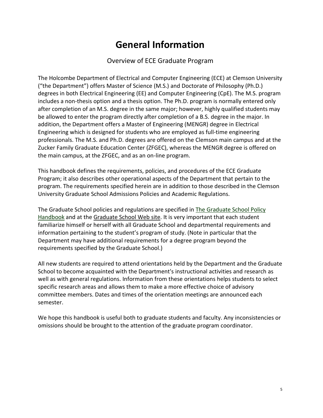# **General Information**

#### Overview of ECE Graduate Program

<span id="page-4-1"></span><span id="page-4-0"></span>The Holcombe Department of Electrical and Computer Engineering (ECE) at Clemson University ("the Department") offers Master of Science (M.S.) and Doctorate of Philosophy (Ph.D.) degrees in both Electrical Engineering (EE) and Computer Engineering (CpE). The M.S. program includes a non-thesis option and a thesis option. The Ph.D. program is normally entered only after completion of an M.S. degree in the same major; however, highly qualified students may be allowed to enter the program directly after completion of a B.S. degree in the major. In addition, the Department offers a Master of Engineering (MENGR) degree in Electrical Engineering which is designed for students who are employed as full-time engineering professionals. The M.S. and Ph.D. degrees are offered on the Clemson main campus and at the Zucker Family Graduate Education Center (ZFGEC), whereas the MENGR degree is offered on the main campus, at the ZFGEC, and as an on-line program.

This handbook defines the requirements, policies, and procedures of the ECE Graduate Program; it also describes other operational aspects of the Department that pertain to the program. The requirements specified herein are in addition to those described in the Clemson University Graduate School Admissions Policies and Academic Regulations.

The Graduate School policies and regulations are specified in [The Graduate School Policy](https://www.clemson.edu/graduate/students/policies-procedures/index.html)  [Handbook](https://www.clemson.edu/graduate/students/policies-procedures/index.html) and at the [Graduate School Web site.](https://www.clemson.edu/graduate/index.html) It is very important that each student familiarize himself or herself with all Graduate School and departmental requirements and information pertaining to the student's program of study. (Note in particular that the Department may have additional requirements for a degree program beyond the requirements specified by the Graduate School.)

All new students are required to attend orientations held by the Department and the Graduate School to become acquainted with the Department's instructional activities and research as well as with general regulations. Information from these orientations helps students to select specific research areas and allows them to make a more effective choice of advisory committee members. Dates and times of the orientation meetings are announced each semester.

We hope this handbook is useful both to graduate students and faculty. Any inconsistencies or omissions should be brought to the attention of the graduate program coordinator.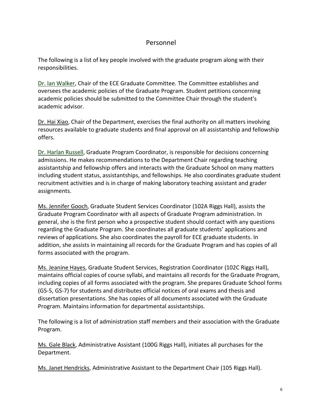#### <span id="page-5-0"></span>Personnel

The following is a list of key people involved with the graduate program along with their responsibilities.

Dr. [Ian](mailto:smithmc@clemson.edu) Walker, Chair of the ECE Graduate Committee. The Committee establishes and oversees the academic policies of the Graduate Program. Student petitions concerning academic policies should be submitted to the Committee Chair through the student's academic advisor.

[Dr. Hai](mailto:dnoneak@clemson.edu) Xiao, Chair of the Department, exercises the final authority on all matters involving resources available to graduate students and final approval on all assistantship and fellowship offers.

[Dr. Harlan Russell,](mailto:harlanr@clemson.edu) Graduate Program Coordinator, is responsible for decisions concerning admissions. He makes recommendations to the Department Chair regarding teaching assistantship and fellowship offers and interacts with the Graduate School on many matters including student status, assistantships, and fellowships. He also coordinates graduate student recruitment activities and is in charge of making laboratory teaching assistant and grader assignments.

Ms. [Jennifer Gooch,](mailto:jdgooch@clemson.edu) Graduate Student Services Coordinator (102A Riggs Hall), assists the Graduate Program Coordinator with all aspects of Graduate Program administration. In general, she is the first person who a prospective student should contact with any questions regarding the Graduate Program. She coordinates all graduate students' applications and reviews of applications. She also coordinates the payroll for ECE graduate students. In addition, she assists in maintaining all records for the Graduate Program and has copies of all forms associated with the program.

Ms. Jeanine Hayes, Graduate Student Services, Registration Coordinator (102C Riggs Hall), maintains official copies of course syllabi, and maintains all records for the Graduate Program, including copies of all forms associated with the program. She prepares Graduate School forms (GS-5, GS-7) for students and distributes official notices of oral exams and thesis and dissertation presentations. She has copies of all documents associated with the Graduate Program. Maintains information for departmental assistantships.

The following is a list of administration staff members and their association with the Graduate Program.

[Ms. Gale Black,](mailto:galew@clemson.edu) Administrative Assistant (100G Riggs Hall), initiates all purchases for the Department.

[Ms. Janet Hendricks,](mailto:jhendr3@CLEMSON.EDU) Administrative Assistant to the Department Chair (105 Riggs Hall).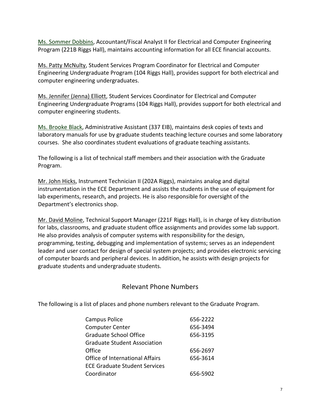[Ms.](mailto:pboyer@clemson.edu) Sommer Dobbins, Accountant/Fiscal Analyst II for Electrical and Computer Engineering Program (221B Riggs Hall), maintains accounting information for all ECE financial accounts.

[Ms. Patty McNulty,](mailto:pmcnult@clemson.edu) Student Services Program Coordinator for Electrical and Computer Engineering Undergraduate Program (104 Riggs Hall), provides support for both electrical and computer engineering undergraduates.

Ms. Jennifer (Jenna) Elliott, Student Services Coordinator for Electrical and Computer Engineering Undergraduate Programs (104 Riggs Hall), provides support for both electrical and computer engineering students.

[Ms. Brooke Black,](mailto:bablack@clemson.edu) Administrative Assistant (337 EIB), maintains desk copies of texts and laboratory manuals for use by graduate students teaching lecture courses and some laboratory courses. She also coordinates student evaluations of graduate teaching assistants.

The following is a list of technical staff members and their association with the Graduate Program.

[Mr. John Hicks,](mailto:jphicks@clemson.edu) Instrument Technician II (202A Riggs), maintains analog and digital instrumentation in the ECE Department and assists the students in the use of equipment for lab experiments, research, and projects. He is also responsible for oversight of the Department's electronics shop.

[Mr. David Moline,](mailto:moline@ces.clemson.edu) Technical Support Manager (221F Riggs Hall), is in charge of key distribution for labs, classrooms, and graduate student office assignments and provides some lab support. He also provides analysis of computer systems with responsibility for the design, programming, testing, debugging and implementation of systems; serves as an independent leader and user contact for design of special system projects; and provides electronic servicing of computer boards and peripheral devices. In addition, he assists with design projects for graduate students and undergraduate students.

## Relevant Phone Numbers

<span id="page-6-0"></span>The following is a list of places and phone numbers relevant to the Graduate Program.

| <b>Campus Police</b>                 | 656-2222 |
|--------------------------------------|----------|
| <b>Computer Center</b>               | 656-3494 |
| <b>Graduate School Office</b>        | 656-3195 |
| Graduate Student Association         |          |
| Office                               | 656-2697 |
| Office of International Affairs      | 656-3614 |
| <b>ECE Graduate Student Services</b> |          |
| Coordinator                          | 656-5902 |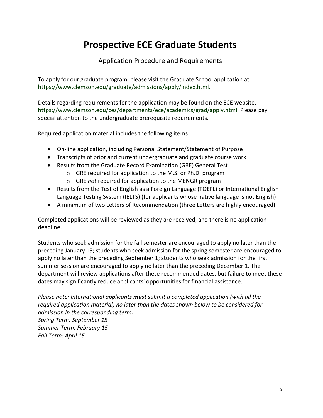# **Prospective ECE Graduate Students**

Application Procedure and Requirements

<span id="page-7-1"></span><span id="page-7-0"></span>To apply for our graduate program, please visit the Graduate School application at <https://www.clemson.edu/graduate/admissions/apply/index.html.>

Details regarding requirements for the application may be found on the ECE website, [https://www.clemson.edu/ces/departments/ece/academics/grad/apply.html.](https://www.clemson.edu/ces/departments/ece/academics/grad/apply.html) Please pay special attention to the [undergraduate prerequisite requirements.](http://www.clemson.edu/ces/departments/ece/academics/grad/ug_course_requirements.html)

Required application material includes the following items:

- On-line application, including Personal Statement/Statement of Purpose
- Transcripts of prior and current undergraduate and graduate course work
- Results from the Graduate Record Examination (GRE) General Test
	- o GRE required for application to the M.S. or Ph.D. program
	- o GRE *not* required for application to the MENGR program
- Results from the Test of English as a Foreign Language (TOEFL) or International English Language Testing System (IELTS) (for applicants whose native language is not English)
- A minimum of two Letters of Recommendation (three Letters are highly encouraged)

Completed applications will be reviewed as they are received, and there is no application deadline.

Students who seek admission for the fall semester are encouraged to apply no later than the preceding January 15; students who seek admission for the spring semester are encouraged to apply no later than the preceding September 1; students who seek admission for the first summer session are encouraged to apply no later than the preceding December 1. The department will review applications after these recommended dates, but failure to meet these dates may significantly reduce applicants' opportunities for financial assistance.

*Please note: International applicants must submit a completed application (with all the required application material) no later than the dates shown below to be considered for admission in the corresponding term. Spring Term: September 15 Summer Term: February 15 Fall Term: April 15*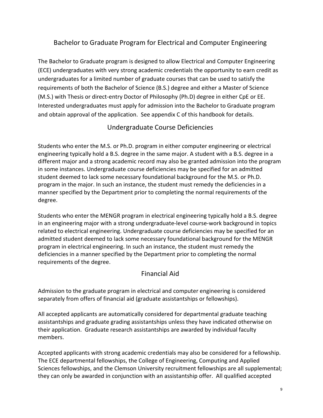# <span id="page-8-0"></span>Bachelor to Graduate Program for Electrical and Computer Engineering

The Bachelor to Graduate program is designed to allow Electrical and Computer Engineering (ECE) undergraduates with very strong academic credentials the opportunity to earn credit as undergraduates for a limited number of graduate courses that can be used to satisfy the requirements of both the Bachelor of Science (B.S.) degree and either a Master of Science (M.S.) with Thesis or direct-entry Doctor of Philosophy (Ph.D) degree in either CpE or EE. Interested undergraduates must apply for admission into the Bachelor to Graduate program and obtain approval of the application. See appendix C of this handbook for details.

# Undergraduate Course Deficiencies

<span id="page-8-1"></span>Students who enter the M.S. or Ph.D. program in either computer engineering or electrical engineering typically hold a B.S. degree in the same major. A student with a B.S. degree in a different major and a strong academic record may also be granted admission into the program in some instances. Undergraduate course deficiencies may be specified for an admitted student deemed to lack some necessary foundational background for the M.S. or Ph.D. program in the major. In such an instance, the student must remedy the deficiencies in a manner specified by the Department prior to completing the normal requirements of the degree.

Students who enter the MENGR program in electrical engineering typically hold a B.S. degree in an engineering major with a strong undergraduate-level course-work background in topics related to electrical engineering. Undergraduate course deficiencies may be specified for an admitted student deemed to lack some necessary foundational background for the MENGR program in electrical engineering. In such an instance, the student must remedy the deficiencies in a manner specified by the Department prior to completing the normal requirements of the degree.

## Financial Aid

<span id="page-8-2"></span>Admission to the graduate program in electrical and computer engineering is considered separately from offers of financial aid (graduate assistantships or fellowships).

All accepted applicants are automatically considered for departmental graduate teaching assistantships and graduate grading assistantships unless they have indicated otherwise on their application. Graduate research assistantships are awarded by individual faculty members.

Accepted applicants with strong academic credentials may also be considered for a fellowship. The ECE departmental fellowships, the College of Engineering, Computing and Applied Sciences fellowships, and the Clemson University recruitment fellowships are all supplemental; they can only be awarded in conjunction with an assistantship offer. All qualified accepted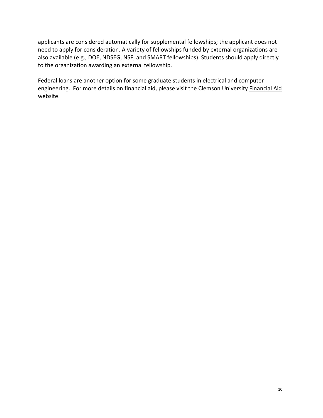applicants are considered automatically for supplemental fellowships; the applicant does not need to apply for consideration. A variety of fellowships funded by external organizations are also available (e.g., DOE, NDSEG, NSF, and SMART fellowships). Students should apply directly to the organization awarding an external fellowship.

Federal loans are another option for some graduate students in electrical and computer engineering. For more details on financial aid, please visit the Clemson University Financial Aid [website.](https://www.clemson.edu/financial-aid/)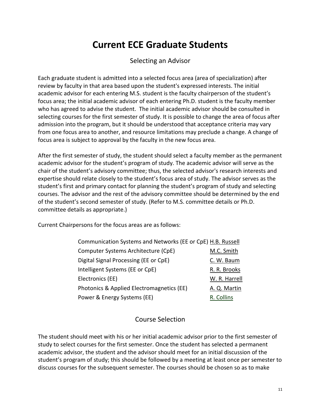# **Current ECE Graduate Students**

#### Selecting an Advisor

<span id="page-10-1"></span><span id="page-10-0"></span>Each graduate student is admitted into a selected focus area (area of specialization) after review by faculty in that area based upon the student's expressed interests. The initial academic advisor for each entering M.S. student is the faculty chairperson of the student's focus area; the initial academic advisor of each entering Ph.D. student is the faculty member who has agreed to advise the student. The initial academic advisor should be consulted in selecting courses for the first semester of study. It is possible to change the area of focus after admission into the program, but it should be understood that acceptance criteria may vary from one focus area to another, and resource limitations may preclude a change. A change of focus area is subject to approval by the faculty in the new focus area.

After the first semester of study, the student should select a faculty member as the permanent academic advisor for the student's program of study. The academic advisor will serve as the chair of the student's advisory committee; thus, the selected advisor's research interests and expertise should relate closely to the student's focus area of study. The advisor serves as the student's first and primary contact for planning the student's program of study and selecting courses. The advisor and the rest of the advisory committee should be determined by the end of the student's second semester of study. (Refer to M.S. committee details or Ph.D. committee details as appropriate.)

Current Chairpersons for the focus areas are as follows:

| Communication Systems and Networks (EE or CpE) H.B. Russell |               |
|-------------------------------------------------------------|---------------|
| Computer Systems Architecture (CpE)                         | M.C. Smith    |
| Digital Signal Processing (EE or CpE)                       | C. W. Baum    |
| Intelligent Systems (EE or CpE)                             | R. R. Brooks  |
| Electronics (EE)                                            | W. R. Harrell |
| Photonics & Applied Electromagnetics (EE)                   | A. Q. Martin  |
| Power & Energy Systems (EE)                                 | R. Collins    |

#### Course Selection

<span id="page-10-2"></span>The student should meet with his or her initial academic advisor prior to the first semester of study to select courses for the first semester. Once the student has selected a permanent academic advisor, the student and the advisor should meet for an initial discussion of the student's program of study; this should be followed by a meeting at least once per semester to discuss courses for the subsequent semester. The courses should be chosen so as to make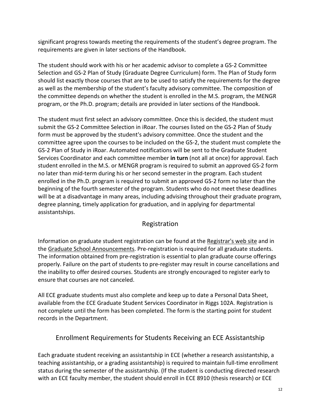significant progress towards meeting the requirements of the student's degree program. The requirements are given in later sections of the Handbook.

The student should work with his or her academic advisor to complete a GS-2 Committee Selection and GS-2 Plan of Study (Graduate Degree Curriculum) form. The Plan of Study form should list exactly those courses that are to be used to satisfy the requirements for the degree as well as the membership of the student's faculty advisory committee. The composition of the committee depends on whether the student is enrolled in the M.S. program, the MENGR program, or the Ph.D. program; details are provided in later sections of the Handbook.

The student must first select an advisory committee. Once this is decided, the student must submit the GS-2 Committee Selection in iRoar. The courses listed on the GS-2 Plan of Study form must be approved by the student's advisory committee. Once the student and the committee agree upon the courses to be included on the GS-2, the student must complete the GS-2 Plan of Study in iRoar. Automated notifications will be sent to the Graduate Student Services Coordinator and each committee member **in turn** (not all at once) for approval. Each student enrolled in the M.S. or MENGR program is required to submit an approved GS-2 form no later than mid-term during his or her second semester in the program. Each student enrolled in the Ph.D. program is required to submit an approved GS-2 form no later than the beginning of the fourth semester of the program. Students who do not meet these deadlines will be at a disadvantage in many areas, including advising throughout their graduate program, degree planning, timely application for graduation, and in applying for departmental assistantships.

## Registration

<span id="page-11-0"></span>Information on graduate student registration can be found at the [Registrar's web site](http://www.registrar.clemson.edu/index.html) and in the [Graduate School Announcements.](http://catalog.clemson.edu/index.php) Pre-registration is required for all graduate students. The information obtained from pre-registration is essential to plan graduate course offerings properly. Failure on the part of students to pre-register may result in course cancellations and the inability to offer desired courses. Students are strongly encouraged to register early to ensure that courses are not canceled.

All ECE graduate students must also complete and keep up to date a Personal Data Sheet, available from the ECE Graduate Student Services Coordinator in Riggs 102A. Registration is not complete until the form has been completed. The form is the starting point for student records in the Department.

# <span id="page-11-1"></span>Enrollment Requirements for Students Receiving an ECE Assistantship

Each graduate student receiving an assistantship in ECE (whether a research assistantship, a teaching assistantship, or a grading assistantship) is required to maintain full-time enrollment status during the semester of the assistantship. (If the student is conducting directed research with an ECE faculty member, the student should enroll in ECE 8910 (thesis research) or ECE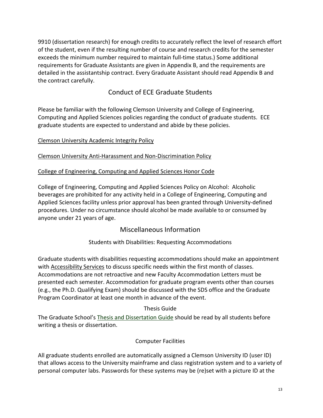9910 (dissertation research) for enough credits to accurately reflect the level of research effort of the student, even if the resulting number of course and research credits for the semester exceeds the minimum number required to maintain full-time status.) Some additional requirements for Graduate Assistants are given in Appendix B, and the requirements are detailed in the assistantship contract. Every Graduate Assistant should read Appendix B and the contract carefully.

# Conduct of ECE Graduate Students

<span id="page-12-0"></span>Please be familiar with the following Clemson University and College of Engineering, Computing and Applied Sciences policies regarding the conduct of graduate students. ECE graduate students are expected to understand and abide by these policies.

#### [Clemson University Academic Integrity Policy](https://www.clemson.edu/graduate/students/policies-procedures/index.html)

[Clemson University Anti-Harassment and Non-Discrimination Policy](https://www.clemson.edu/campus-life/campus-services/access/anti-harassment-policy.html)

#### [College of Engineering, Computing and Applied Sciences Honor Code](http://www.clemson.edu/ces/students/honor-code.html)

College of Engineering, Computing and Applied Sciences Policy on Alcohol: Alcoholic beverages are prohibited for any activity held in a College of Engineering, Computing and Applied Sciences facility unless prior approval has been granted through University-defined procedures. Under no circumstance should alcohol be made available to or consumed by anyone under 21 years of age.

#### Miscellaneous Information

#### Students with Disabilities: Requesting Accommodations

<span id="page-12-2"></span><span id="page-12-1"></span>Graduate students with disabilities requesting accommodations should make an appointment with [Accessibility Services](https://www.clemson.edu/academics/studentaccess/) to discuss specific needs within the first month of classes. Accommodations are not retroactive and new Faculty Accommodation Letters must be presented each semester. Accommodation for graduate program events other than courses (e.g., the Ph.D. Qualifying Exam) should be discussed with the SDS office and the Graduate Program Coordinator at least one month in advance of the event.

#### Thesis Guide

<span id="page-12-3"></span>The Graduate School's [Thesis and Dissertation Guide](https://www.clemson.edu/graduate/students/theses-and-dissertations/index.html) should be read by all students before writing a thesis or dissertation.

#### Computer Facilities

<span id="page-12-4"></span>All graduate students enrolled are automatically assigned a Clemson University ID (user ID) that allows access to the University mainframe and class registration system and to a variety of personal computer labs. Passwords for these systems may be (re)set with a picture ID at the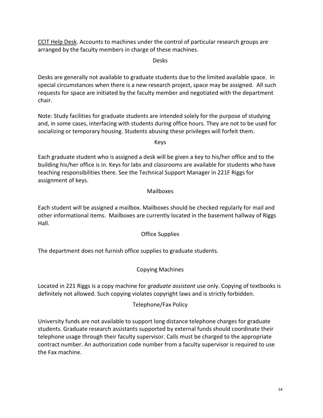<span id="page-13-0"></span>[CCIT Help Desk.](http://www.clemson.edu/ccit/) Accounts to machines under the control of particular research groups are arranged by the faculty members in charge of these machines.

Desks

Desks are generally not available to graduate students due to the limited available space. In special circumstances when there is a new research project, space may be assigned. All such requests for space are initiated by the faculty member and negotiated with the department chair.

Note: Study facilities for graduate students are intended solely for the purpose of studying and, in some cases, interfacing with students during office hours. They are not to be used for socializing or temporary housing. Students abusing these privileges will forfeit them.

Keys

<span id="page-13-1"></span>Each graduate student who is assigned a desk will be given a key to his/her office and to the building his/her office is in. Keys for labs and classrooms are available for students who have teaching responsibilities there. See the Technical Support Manager in 221F Riggs for assignment of keys.

#### Mailboxes

<span id="page-13-2"></span>Each student will be assigned a mailbox. Mailboxes should be checked regularly for mail and other informational items. Mailboxes are currently located in the basement hallway of Riggs Hall.

Office Supplies

<span id="page-13-4"></span><span id="page-13-3"></span>The department does not furnish office supplies to graduate students.

#### Copying Machines

<span id="page-13-5"></span>Located in 221 Riggs is a copy machine for *graduate assistant* use only. Copying of textbooks is definitely not allowed. Such copying violates copyright laws and is strictly forbidden.

#### Telephone/Fax Policy

University funds are not available to support long distance telephone charges for graduate students. Graduate research assistants supported by external funds should coordinate their telephone usage through their faculty supervisor. Calls must be charged to the appropriate contract number. An authorization code number from a faculty supervisor is required to use the Fax machine.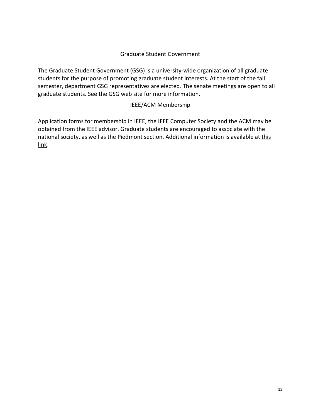#### Graduate Student Government

<span id="page-14-0"></span>The Graduate Student Government (GSG) is a university-wide organization of all graduate students for the purpose of promoting graduate student interests. At the start of the fall semester, department GSG representatives are elected. The senate meetings are open to all graduate students. See the [GSG web site](http://people.clemson.edu/%7Egsg/) for more information.

#### IEEE/ACM Membership

<span id="page-14-1"></span>Application forms for membership in IEEE, the IEEE Computer Society and the ACM may be obtained from the IEEE advisor. Graduate students are encouraged to associate with the national society, as well as the Piedmont section. Additional information is available at this [link.](http://www.clemson.edu/ces/departments/ece/academics/student_org/)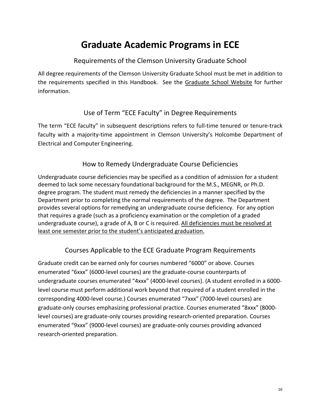# **Graduate Academic Programs in ECE**

# Requirements of the Clemson University Graduate School

<span id="page-15-1"></span><span id="page-15-0"></span>All degree requirements of the Clemson University Graduate School must be met in addition to the requirements specified in this Handbook. See the [Graduate School Website](https://www.clemson.edu/graduate/students/policies-procedures/index.html) for further information.

# Use of Term "ECE Faculty" in Degree Requirements

<span id="page-15-2"></span>The term "ECE faculty" in subsequent descriptions refers to full-time tenured or tenure-track faculty with a majority-time appointment in Clemson University's Holcombe Department of Electrical and Computer Engineering.

# How to Remedy Undergraduate Course Deficiencies

<span id="page-15-3"></span>Undergraduate course deficiencies may be specified as a condition of admission for a student deemed to lack some necessary foundational background for the M.S., MEGNR, or Ph.D. degree program. The student must remedy the deficiencies in a manner specified by the Department prior to completing the normal requirements of the degree. The Department provides several options for remedying an undergraduate course deficiency. For any option that requires a grade (such as a proficiency examination or the completion of a graded undergraduate course), a grade of A, B or C is required. All deficiencies must be resolved at least one semester prior to the student's anticipated graduation.

# Courses Applicable to the ECE Graduate Program Requirements

<span id="page-15-4"></span>Graduate credit can be earned only for courses numbered "6000" or above. Courses enumerated "6xxx" (6000-level courses) are the graduate-course counterparts of undergraduate courses enumerated "4xxx" (4000-level courses). (A student enrolled in a 6000 level course must perform additional work beyond that required of a student enrolled in the corresponding 4000-level course.) Courses enumerated "7xxx" (7000-level courses) are graduate-only courses emphasizing professional practice. Courses enumerated "8xxx" (8000 level courses) are graduate-only courses providing research-oriented preparation. Courses enumerated "9xxx" (9000-level courses) are graduate-only courses providing advanced research-oriented preparation.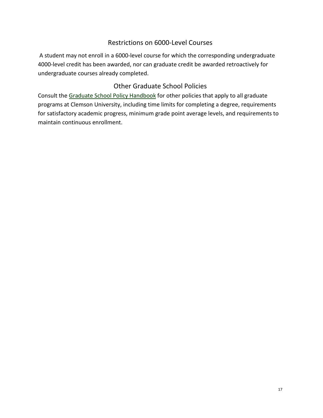## Restrictions on 6000-Level Courses

<span id="page-16-0"></span>A student may not enroll in a 6000-level course for which the corresponding undergraduate 4000-level credit has been awarded, nor can graduate credit be awarded retroactively for undergraduate courses already completed.

#### Other Graduate School Policies

<span id="page-16-1"></span>Consult the [Graduate School Policy Handbook](https://www.clemson.edu/graduate/students/policies-procedures/index.html) for other policies that apply to all graduate programs at Clemson University, including time limits for completing a degree, requirements for satisfactory academic progress, minimum grade point average levels, and requirements to maintain continuous enrollment.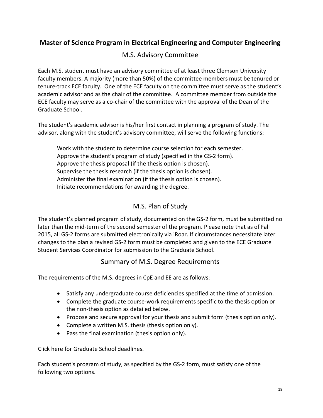# <span id="page-17-1"></span><span id="page-17-0"></span>**Master of Science Program in Electrical Engineering and Computer Engineering**

# M.S. Advisory Committee

Each M.S. student must have an advisory committee of at least three Clemson University faculty members. A majority (more than 50%) of the committee members must be tenured or tenure-track ECE faculty. One of the ECE faculty on the committee must serve as the student's academic advisor and as the chair of the committee. A committee member from outside the ECE faculty may serve as a co-chair of the committee with the approval of the Dean of the Graduate School.

The student's academic advisor is his/her first contact in planning a program of study. The advisor, along with the student's advisory committee, will serve the following functions:

Work with the student to determine course selection for each semester. Approve the student's program of study (specified in the GS-2 form). Approve the thesis proposal (if the thesis option is chosen). Supervise the thesis research (if the thesis option is chosen). Administer the final examination (if the thesis option is chosen). Initiate recommendations for awarding the degree.

# M.S. Plan of Study

<span id="page-17-2"></span>The student's planned program of study, documented on the GS-2 form, must be submitted no later than the mid-term of the second semester of the program. Please note that as of Fall 2015, all GS-2 forms are submitted electronically via iRoar. If circumstances necessitate later changes to the plan a revised GS-2 form must be completed and given to the ECE Graduate Student Services Coordinator for submission to the Graduate School.

## Summary of M.S. Degree Requirements

<span id="page-17-3"></span>The requirements of the M.S. degrees in CpE and EE are as follows:

- Satisfy any undergraduate course deficiencies specified at the time of admission.
- Complete the graduate course-work requirements specific to the thesis option or the non-thesis option as detailed below.
- Propose and secure approval for your thesis and submit form (thesis option only).
- Complete a written M.S. thesis (thesis option only).
- Pass the final examination (thesis option only).

Click [here](https://www.clemson.edu/graduate/students/deadlines.html) for Graduate School deadlines.

Each student's program of study, as specified by the GS-2 form, must satisfy one of the following two options.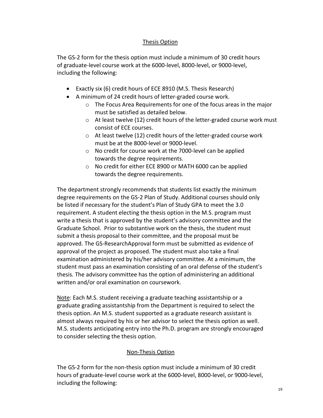#### Thesis Option

The GS-2 form for the thesis option must include a minimum of 30 credit hours of graduate-level course work at the 6000-level, 8000-level, or 9000-level, including the following:

- Exactly six (6) credit hours of ECE 8910 (M.S. Thesis Research)
- A minimum of 24 credit hours of letter-graded course work.
	- o The Focus Area Requirements for one of the focus areas in the major must be satisfied as detailed below.
	- $\circ$  At least twelve (12) credit hours of the letter-graded course work must consist of ECE courses.
	- o At least twelve (12) credit hours of the letter-graded course work must be at the 8000-level or 9000-level.
	- o No credit for course work at the 7000-level can be applied towards the degree requirements.
	- o No credit for either ECE 8900 or MATH 6000 can be applied towards the degree requirements.

The department strongly recommends that students list exactly the minimum degree requirements on the GS-2 Plan of Study. Additional courses should only be listed if necessary for the student's Plan of Study GPA to meet the 3.0 requirement. A student electing the thesis option in the M.S. program must write a thesis that is approved by the student's advisory committee and the Graduate School. Prior to substantive work on the thesis, the student must submit a thesis proposal to their committee, and the proposal must be approved. The GS-ResearchApproval form must be submitted as evidence of approval of the project as proposed. The student must also take a final examination administered by his/her advisory committee. At a minimum, the student must pass an examination consisting of an oral defense of the student's thesis. The advisory committee has the option of administering an additional written and/or oral examination on coursework.

Note: Each M.S. student receiving a graduate teaching assistantship or a graduate grading assistantship from the Department is required to select the thesis option. An M.S. student supported as a graduate research assistant is almost always required by his or her advisor to select the thesis option as well. M.S. students anticipating entry into the Ph.D. program are strongly encouraged to consider selecting the thesis option.

#### Non-Thesis Option

The GS-2 form for the non-thesis option must include a minimum of 30 credit hours of graduate-level course work at the 6000-level, 8000-level, or 9000-level, including the following: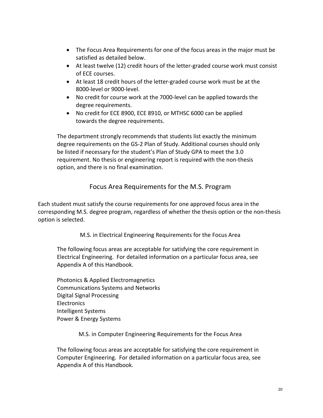- The Focus Area Requirements for one of the focus areas in the major must be satisfied as detailed below.
- At least twelve (12) credit hours of the letter-graded course work must consist of ECE courses.
- At least 18 credit hours of the letter-graded course work must be at the 8000-level or 9000-level.
- No credit for course work at the 7000-level can be applied towards the degree requirements.
- No credit for ECE 8900, ECE 8910, or MTHSC 6000 can be applied towards the degree requirements.

The department strongly recommends that students list exactly the minimum degree requirements on the GS-2 Plan of Study. Additional courses should only be listed if necessary for the student's Plan of Study GPA to meet the 3.0 requirement. No thesis or engineering report is required with the non-thesis option, and there is no final examination.

# Focus Area Requirements for the M.S. Program

<span id="page-19-0"></span>Each student must satisfy the course requirements for one approved focus area in the corresponding M.S. degree program, regardless of whether the thesis option or the non-thesis option is selected.

M.S. in Electrical Engineering Requirements for the Focus Area

The following focus areas are acceptable for satisfying the core requirement in Electrical Engineering. For detailed information on a particular focus area, see Appendix A of this Handbook.

Photonics & Applied Electromagnetics Communications Systems and Networks Digital Signal Processing **Electronics** Intelligent Systems Power & Energy Systems

M.S. in Computer Engineering Requirements for the Focus Area

The following focus areas are acceptable for satisfying the core requirement in Computer Engineering. For detailed information on a particular focus area, see Appendix A of this Handbook.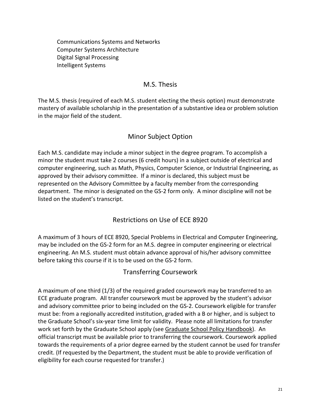Communications Systems and Networks Computer Systems Architecture Digital Signal Processing Intelligent Systems

#### M.S. Thesis

<span id="page-20-0"></span>The M.S. thesis (required of each M.S. student electing the thesis option) must demonstrate mastery of available scholarship in the presentation of a substantive idea or problem solution in the major field of the student.

# Minor Subject Option

<span id="page-20-1"></span>Each M.S. candidate may include a minor subject in the degree program. To accomplish a minor the student must take 2 courses (6 credit hours) in a subject outside of electrical and computer engineering, such as Math, Physics, Computer Science, or Industrial Engineering, as approved by their advisory committee. If a minor is declared, this subject must be represented on the Advisory Committee by a faculty member from the corresponding department. The minor is designated on the GS-2 form only. A minor discipline will not be listed on the student's transcript.

## Restrictions on Use of ECE 8920

<span id="page-20-2"></span>A maximum of 3 hours of ECE 8920, Special Problems in Electrical and Computer Engineering, may be included on the GS-2 form for an M.S. degree in computer engineering or electrical engineering. An M.S. student must obtain advance approval of his/her advisory committee before taking this course if it is to be used on the GS-2 form.

## Transferring Coursework

<span id="page-20-3"></span>A maximum of one third (1/3) of the required graded coursework may be transferred to an ECE graduate program. All transfer coursework must be approved by the student's advisor and advisory committee prior to being included on the GS-2. Coursework eligible for transfer must be: from a regionally accredited institution, graded with a B or higher, and is subject to the Graduate School's six-year time limit for validity. Please note all limitations for transfer work set forth by the Graduate School apply (see [Graduate School Policy Handbook\)](https://www.clemson.edu/graduate/students/policies-procedures/index.html). An official transcript must be available prior to transferring the coursework. Coursework applied towards the requirements of a prior degree earned by the student cannot be used for transfer credit. (If requested by the Department, the student must be able to provide verification of eligibility for each course requested for transfer.)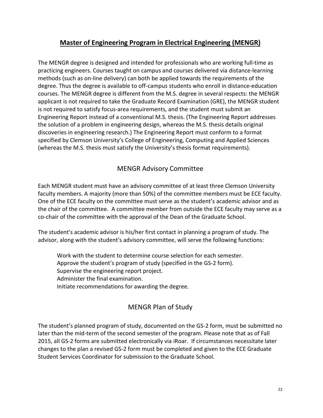# **Master of Engineering Program in Electrical Engineering (MENGR)**

<span id="page-21-0"></span>The MENGR degree is designed and intended for professionals who are working full-time as practicing engineers. Courses taught on campus and courses delivered via distance-learning methods (such as on-line delivery) can both be applied towards the requirements of the degree. Thus the degree is available to off-campus students who enroll in distance-education courses. The MENGR degree is different from the M.S. degree in several respects: the MENGR applicant is not required to take the Graduate Record Examination (GRE), the MENGR student is not required to satisfy focus-area requirements, and the student must submit an Engineering Report instead of a conventional M.S. thesis. (The Engineering Report addresses the solution of a problem in engineering design, whereas the M.S. thesis details original discoveries in engineering research.) The Engineering Report must conform to a format specified by Clemson University's College of Engineering, Computing and Applied Sciences (whereas the M.S. thesis must satisfy the University's thesis format requirements).

## MENGR Advisory Committee

<span id="page-21-1"></span>Each MENGR student must have an advisory committee of at least three Clemson University faculty members. A majority (more than 50%) of the committee members must be ECE faculty. One of the ECE faculty on the committee must serve as the student's academic advisor and as the chair of the committee. A committee member from outside the ECE faculty may serve as a co-chair of the committee with the approval of the Dean of the Graduate School.

The student's academic advisor is his/her first contact in planning a program of study. The advisor, along with the student's advisory committee, will serve the following functions:

Work with the student to determine course selection for each semester. Approve the student's program of study (specified in the GS-2 form). Supervise the engineering report project. Administer the final examination. Initiate recommendations for awarding the degree.

# MENGR Plan of Study

<span id="page-21-2"></span>The student's planned program of study, documented on the GS-2 form, must be submitted no later than the mid-term of the second semester of the program. Please note that as of Fall 2015, all GS-2 forms are submitted electronically via iRoar. If circumstances necessitate later changes to the plan a revised GS-2 form must be completed and given to the ECE Graduate Student Services Coordinator for submission to the Graduate School.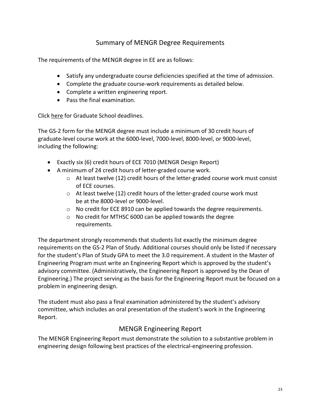# Summary of MENGR Degree Requirements

<span id="page-22-0"></span>The requirements of the MENGR degree in EE are as follows:

- Satisfy any undergraduate course deficiencies specified at the time of admission.
- Complete the graduate course-work requirements as detailed below.
- Complete a written engineering report.
- Pass the final examination.

Click [here](https://www.clemson.edu/graduate/students/deadlines.html) for Graduate School deadlines.

The GS-2 form for the MENGR degree must include a minimum of 30 credit hours of graduate-level course work at the 6000-level, 7000-level, 8000-level, or 9000-level, including the following:

- Exactly six (6) credit hours of ECE 7010 (MENGR Design Report)
- A minimum of 24 credit hours of letter-graded course work.
	- $\circ$  At least twelve (12) credit hours of the letter-graded course work must consist of ECE courses.
	- o At least twelve (12) credit hours of the letter-graded course work must be at the 8000-level or 9000-level.
	- o No credit for ECE 8910 can be applied towards the degree requirements.
	- o No credit for MTHSC 6000 can be applied towards the degree requirements.

The department strongly recommends that students list exactly the minimum degree requirements on the GS-2 Plan of Study. Additional courses should only be listed if necessary for the student's Plan of Study GPA to meet the 3.0 requirement. A student in the Master of Engineering Program must write an Engineering Report which is approved by the student's advisory committee. (Administratively, the Engineering Report is approved by the Dean of Engineering.) The project serving as the basis for the Engineering Report must be focused on a problem in engineering design.

The student must also pass a final examination administered by the student's advisory committee, which includes an oral presentation of the student's work in the Engineering Report.

## MENGR Engineering Report

<span id="page-22-1"></span>The MENGR Engineering Report must demonstrate the solution to a substantive problem in engineering design following best practices of the electrical-engineering profession.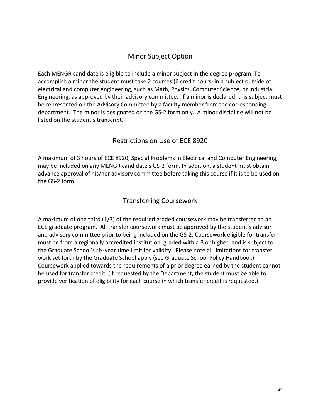# Minor Subject Option

<span id="page-23-0"></span>Each MENGR candidate is eligible to include a minor subject in the degree program. To accomplish a minor the student must take 2 courses (6 credit hours) in a subject outside of electrical and computer engineering, such as Math, Physics, Computer Science, or Industrial Engineering, as approved by their advisory committee. If a minor is declared, this subject must be represented on the Advisory Committee by a faculty member from the corresponding department. The minor is designated on the GS-2 form only. A minor discipline will not be listed on the student's transcript.

# Restrictions on Use of ECE 8920

<span id="page-23-1"></span>A maximum of 3 hours of ECE 8920, Special Problems in Electrical and Computer Engineering, may be included on any MENGR candidate's GS-2 form. In addition, a student must obtain advance approval of his/her advisory committee before taking this course if it is to be used on the GS-2 form.

# Transferring Coursework

<span id="page-23-2"></span>A maximum of one third (1/3) of the required graded coursework may be transferred to an ECE graduate program. All transfer coursework must be approved by the student's advisor and advisory committee prior to being included on the GS-2. Coursework eligible for transfer must be from a regionally accredited institution, graded with a B or higher, and is subject to the Graduate School's six-year time limit for validity. Please note all limitations for transfer work set forth by the Graduate School apply (see [Graduate School Policy Handbook\)](https://www.clemson.edu/graduate/students/policies-procedures/index.html). Coursework applied towards the requirements of a prior degree earned by the student cannot be used for transfer credit. (If requested by the Department, the student must be able to provide verification of eligibility for each course in which transfer credit is requested.)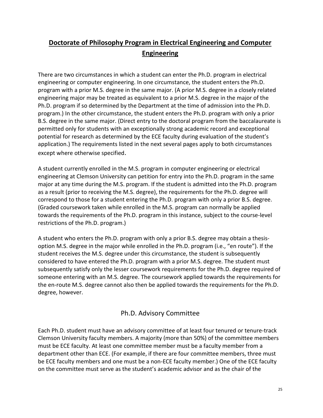# <span id="page-24-0"></span>**Doctorate of Philosophy Program in Electrical Engineering and Computer Engineering**

There are two circumstances in which a student can enter the Ph.D. program in electrical engineering or computer engineering. In one circumstance, the student enters the Ph.D. program with a prior M.S. degree in the same major. (A prior M.S. degree in a closely related engineering major may be treated as equivalent to a prior M.S. degree in the major of the Ph.D. program if so determined by the Department at the time of admission into the Ph.D. program.) In the other circumstance, the student enters the Ph.D. program with only a prior B.S. degree in the same major. (Direct entry to the doctoral program from the baccalaureate is permitted only for students with an exceptionally strong academic record and exceptional potential for research as determined by the ECE faculty during evaluation of the student's application.) The requirements listed in the next several pages apply to both circumstances except where otherwise specified.

A student currently enrolled in the M.S. program in computer engineering or electrical engineering at Clemson University can petition for entry into the Ph.D. program in the same major at any time during the M.S. program. If the student is admitted into the Ph.D. program as a result (prior to receiving the M.S. degree), the requirements for the Ph.D. degree will correspond to those for a student entering the Ph.D. program with only a prior B.S. degree. (Graded coursework taken while enrolled in the M.S. program can normally be applied towards the requirements of the Ph.D. program in this instance, subject to the course-level restrictions of the Ph.D. program.)

A student who enters the Ph.D. program with only a prior B.S. degree may obtain a thesisoption M.S. degree in the major while enrolled in the Ph.D. program (i.e., "en route"). If the student receives the M.S. degree under this circumstance, the student is subsequently considered to have entered the Ph.D. program with a prior M.S. degree. The student must subsequently satisfy only the lesser coursework requirements for the Ph.D. degree required of someone entering with an M.S. degree. The coursework applied towards the requirements for the en-route M.S. degree cannot also then be applied towards the requirements for the Ph.D. degree, however.

## Ph.D. Advisory Committee

<span id="page-24-1"></span>Each Ph.D. student must have an advisory committee of at least four tenured or tenure-track Clemson University faculty members. A majority (more than 50%) of the committee members must be ECE faculty. At least one committee member must be a faculty member from a department other than ECE. (For example, if there are four committee members, three must be ECE faculty members and one must be a non-ECE faculty member.) One of the ECE faculty on the committee must serve as the student's academic advisor and as the chair of the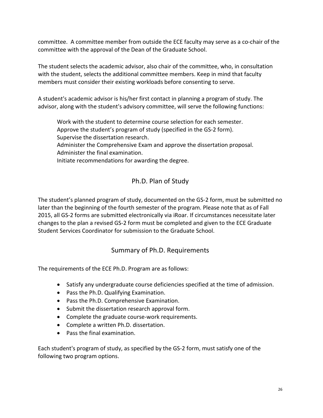committee. A committee member from outside the ECE faculty may serve as a co-chair of the committee with the approval of the Dean of the Graduate School.

The student selects the academic advisor, also chair of the committee, who, in consultation with the student, selects the additional committee members. Keep in mind that faculty members must consider their existing workloads before consenting to serve.

A student's academic advisor is his/her first contact in planning a program of study. The advisor, along with the student's advisory committee, will serve the following functions:

Work with the student to determine course selection for each semester. Approve the student's program of study (specified in the GS-2 form). Supervise the dissertation research. Administer the Comprehensive Exam and approve the dissertation proposal. Administer the final examination. Initiate recommendations for awarding the degree.

# Ph.D. Plan of Study

<span id="page-25-0"></span>The student's planned program of study, documented on the GS-2 form, must be submitted no later than the beginning of the fourth semester of the program. Please note that as of Fall 2015, all GS-2 forms are submitted electronically via iRoar. If circumstances necessitate later changes to the plan a revised GS-2 form must be completed and given to the ECE Graduate Student Services Coordinator for submission to the Graduate School.

## Summary of Ph.D. Requirements

<span id="page-25-1"></span>The requirements of the ECE Ph.D. Program are as follows:

- Satisfy any undergraduate course deficiencies specified at the time of admission.
- Pass the Ph.D. Qualifying Examination.
- Pass the Ph.D. Comprehensive Examination.
- Submit the dissertation research approval form.
- Complete the graduate course-work requirements.
- Complete a written Ph.D. dissertation.
- Pass the final examination.

Each student's program of study, as specified by the GS-2 form, must satisfy one of the following two program options.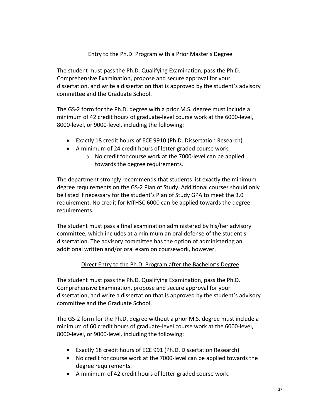#### Entry to the Ph.D. Program with a Prior Master's Degree

<span id="page-26-0"></span>The student must pass the Ph.D. Qualifying Examination, pass the Ph.D. Comprehensive Examination, propose and secure approval for your dissertation, and write a dissertation that is approved by the student's advisory committee and the Graduate School.

The GS-2 form for the Ph.D. degree with a prior M.S. degree must include a minimum of 42 credit hours of graduate-level course work at the 6000-level, 8000-level, or 9000-level, including the following:

- Exactly 18 credit hours of ECE 9910 (Ph.D. Dissertation Research)
- A minimum of 24 credit hours of letter-graded course work.
	- o No credit for course work at the 7000-level can be applied towards the degree requirements.

The department strongly recommends that students list exactly the minimum degree requirements on the GS-2 Plan of Study. Additional courses should only be listed if necessary for the student's Plan of Study GPA to meet the 3.0 requirement. No credit for MTHSC 6000 can be applied towards the degree requirements.

The student must pass a final examination administered by his/her advisory committee, which includes at a minimum an oral defense of the student's dissertation. The advisory committee has the option of administering an additional written and/or oral exam on coursework, however.

#### Direct Entry to the Ph.D. Program after the Bachelor's Degree

The student must pass the Ph.D. Qualifying Examination, pass the Ph.D. Comprehensive Examination, propose and secure approval for your dissertation, and write a dissertation that is approved by the student's advisory committee and the Graduate School.

The GS-2 form for the Ph.D. degree without a prior M.S. degree must include a minimum of 60 credit hours of graduate-level course work at the 6000-level, 8000-level, or 9000-level, including the following:

- Exactly 18 credit hours of ECE 991 (Ph.D. Dissertation Research)
- No credit for course work at the 7000-level can be applied towards the degree requirements.
- A minimum of 42 credit hours of letter-graded course work.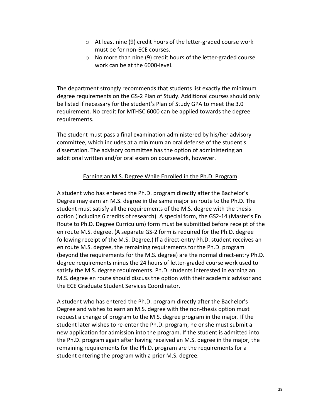- o At least nine (9) credit hours of the letter-graded course work must be for non-ECE courses.
- o No more than nine (9) credit hours of the letter-graded course work can be at the 6000-level.

The department strongly recommends that students list exactly the minimum degree requirements on the GS-2 Plan of Study. Additional courses should only be listed if necessary for the student's Plan of Study GPA to meet the 3.0 requirement. No credit for MTHSC 6000 can be applied towards the degree requirements.

The student must pass a final examination administered by his/her advisory committee, which includes at a minimum an oral defense of the student's dissertation. The advisory committee has the option of administering an additional written and/or oral exam on coursework, however.

#### Earning an M.S. Degree While Enrolled in the Ph.D. Program

<span id="page-27-0"></span>A student who has entered the Ph.D. program directly after the Bachelor's Degree may earn an M.S. degree in the same major en route to the Ph.D. The student must satisfy all the requirements of the M.S. degree with the thesis option (including 6 credits of research). A special form, the GS2-14 (Master's En Route to Ph.D. Degree Curriculum) form must be submitted before receipt of the en route M.S. degree. (A separate GS-2 form is required for the Ph.D. degree following receipt of the M.S. Degree.) If a direct-entry Ph.D. student receives an en route M.S. degree, the remaining requirements for the Ph.D. program (beyond the requirements for the M.S. degree) are the normal direct-entry Ph.D. degree requirements minus the 24 hours of letter-graded course work used to satisfy the M.S. degree requirements. Ph.D. students interested in earning an M.S. degree en route should discuss the option with their academic advisor and the ECE Graduate Student Services Coordinator.

A student who has entered the Ph.D. program directly after the Bachelor's Degree and wishes to earn an M.S. degree with the non-thesis option must request a change of program to the M.S. degree program in the major. If the student later wishes to re-enter the Ph.D. program, he or she must submit a new application for admission into the program. If the student is admitted into the Ph.D. program again after having received an M.S. degree in the major, the remaining requirements for the Ph.D. program are the requirements for a student entering the program with a prior M.S. degree.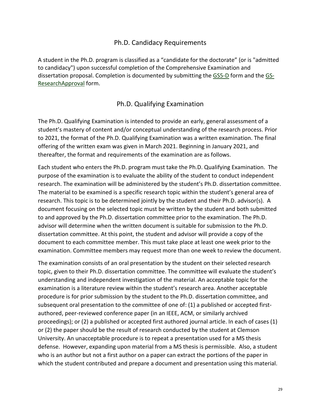#### Ph.D. Candidacy Requirements

<span id="page-28-0"></span>A student in the Ph.D. program is classified as a "candidate for the doctorate" (or is "admitted to candidacy") upon successful completion of the Comprehensive Examination and dissertation proposal. Completion is documented by submitting the [GS5-D](https://www.clemson.edu/graduate/files/pdfs/GS5D.pdf) form and the [GS-](https://www.clemson.edu/graduate/files/pdfs/GS-ResearchApproval.pdf)[ResearchApproval](https://www.clemson.edu/graduate/files/pdfs/GS-ResearchApproval.pdf) form.

#### Ph.D. Qualifying Examination

<span id="page-28-1"></span>The Ph.D. Qualifying Examination is intended to provide an early, general assessment of a student's mastery of content and/or conceptual understanding of the research process. Prior to 2021, the format of the Ph.D. Qualifying Examination was a written examination. The final offering of the written exam was given in March 2021. Beginning in January 2021, and thereafter, the format and requirements of the examination are as follows.

Each student who enters the Ph.D. program must take the Ph.D. Qualifying Examination. The purpose of the examination is to evaluate the ability of the student to conduct independent research. The examination will be administered by the student's Ph.D. dissertation committee. The material to be examined is a specific research topic within the student's general area of research. This topic is to be determined jointly by the student and their Ph.D. advisor(s). A document focusing on the selected topic must be written by the student and both submitted to and approved by the Ph.D. dissertation committee prior to the examination. The Ph.D. advisor will determine when the written document is suitable for submission to the Ph.D. dissertation committee. At this point, the student and advisor will provide a copy of the document to each committee member. This must take place at least one week prior to the examination. Committee members may request more than one week to review the document.

The examination consists of an oral presentation by the student on their selected research topic, given to their Ph.D. dissertation committee. The committee will evaluate the student's understanding and independent investigation of the material. An acceptable topic for the examination is a literature review within the student's research area. Another acceptable procedure is for prior submission by the student to the Ph.D. dissertation committee, and subsequent oral presentation to the committee of one of: (1) a published or accepted firstauthored, peer-reviewed conference paper (in an IEEE, ACM, or similarly archived proceedings); or (2) a published or accepted first authored journal article. In each of cases (1) or (2) the paper should be the result of research conducted by the student at Clemson University. An unacceptable procedure is to repeat a presentation used for a MS thesis defense. However, expanding upon material from a MS thesis is permissible. Also, a student who is an author but not a first author on a paper can extract the portions of the paper in which the student contributed and prepare a document and presentation using this material.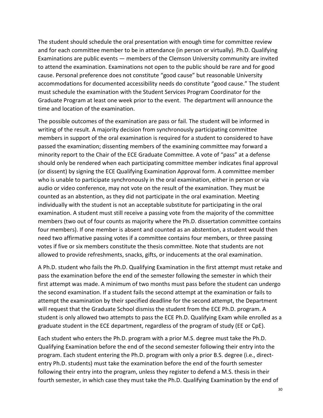The student should schedule the oral presentation with enough time for committee review and for each committee member to be in attendance (in person or virtually). Ph.D. Qualifying Examinations are public events — members of the Clemson University community are invited to attend the examination. Examinations not open to the public should be rare and for good cause. Personal preference does not constitute "good cause" but reasonable University accommodations for documented accessibility needs do constitute "good cause." The student must schedule the examination with the Student Services Program Coordinator for the Graduate Program at least one week prior to the event. The department will announce the time and location of the examination.

The possible outcomes of the examination are pass or fail. The student will be informed in writing of the result. A majority decision from synchronously participating committee members in support of the oral examination is required for a student to considered to have passed the examination; dissenting members of the examining committee may forward a minority report to the Chair of the ECE Graduate Committee. A vote of "pass" at a defense should only be rendered when each participating committee member indicates final approval (or dissent) by signing the ECE Qualifying Examination Approval form. A committee member who is unable to participate synchronously in the oral examination, either in person or via audio or video conference, may not vote on the result of the examination. They must be counted as an abstention, as they did not participate in the oral examination. Meeting individually with the student is not an acceptable substitute for participating in the oral examination. A student must still receive a passing vote from the majority of the committee members (two out of four counts as majority where the Ph.D. dissertation committee contains four members). If one member is absent and counted as an abstention, a student would then need two affirmative passing votes if a committee contains four members, or three passing votes if five or six members constitute the thesis committee. Note that students are not allowed to provide refreshments, snacks, gifts, or inducements at the oral examination.

A Ph.D. student who fails the Ph.D. Qualifying Examination in the first attempt must retake and pass the examination before the end of the semester following the semester in which their first attempt was made. A minimum of two months must pass before the student can undergo the second examination. If a student fails the second attempt at the examination or fails to attempt the examination by their specified deadline for the second attempt, the Department will request that the Graduate School dismiss the student from the ECE Ph.D. program. A student is only allowed two attempts to pass the ECE Ph.D. Qualifying Exam while enrolled as a graduate student in the ECE department, regardless of the program of study (EE or CpE).

Each student who enters the Ph.D. program with a prior M.S. degree must take the Ph.D. Qualifying Examination before the end of the second semester following their entry into the program. Each student entering the Ph.D. program with only a prior B.S. degree (i.e., directentry Ph.D. students) must take the examination before the end of the fourth semester following their entry into the program, unless they register to defend a M.S. thesis in their fourth semester, in which case they must take the Ph.D. Qualifying Examination by the end of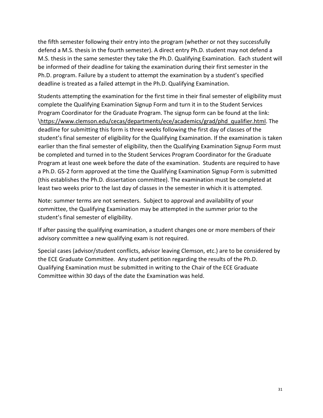the fifth semester following their entry into the program (whether or not they successfully defend a M.S. thesis in the fourth semester). A direct entry Ph.D. student may not defend a M.S. thesis in the same semester they take the Ph.D. Qualifying Examination. Each student will be informed of their deadline for taking the examination during their first semester in the Ph.D. program. Failure by a student to attempt the examination by a student's specified deadline is treated as a failed attempt in the Ph.D. Qualifying Examination.

Students attempting the examination for the first time in their final semester of eligibility must complete the Qualifying Examination Signup Form and turn it in to the Student Services Program Coordinator for the Graduate Program. The signup form can be found at the link: [\https://www.clemson.edu/cecas/departments/ece/academics/grad/phd\\_qualifier.html.](https://www.clemson.edu/cecas/departments/ece/academics/grad/phd_qualifier.html) The deadline for submitting this form is three weeks following the first day of classes of the student's final semester of eligibility for the Qualifying Examination. If the examination is taken earlier than the final semester of eligibility, then the Qualifying Examination Signup Form must be completed and turned in to the Student Services Program Coordinator for the Graduate Program at least one week before the date of the examination. Students are required to have a Ph.D. GS-2 form approved at the time the Qualifying Examination Signup Form is submitted (this establishes the Ph.D. dissertation committee). The examination must be completed at least two weeks prior to the last day of classes in the semester in which it is attempted.

Note: summer terms are not semesters. Subject to approval and availability of your committee, the Qualifying Examination may be attempted in the summer prior to the student's final semester of eligibility.

If after passing the qualifying examination, a student changes one or more members of their advisory committee a new qualifying exam is not required.

Special cases (advisor/student conflicts, advisor leaving Clemson, etc.) are to be considered by the ECE Graduate Committee. Any student petition regarding the results of the Ph.D. Qualifying Examination must be submitted in writing to the Chair of the ECE Graduate Committee within 30 days of the date the Examination was held.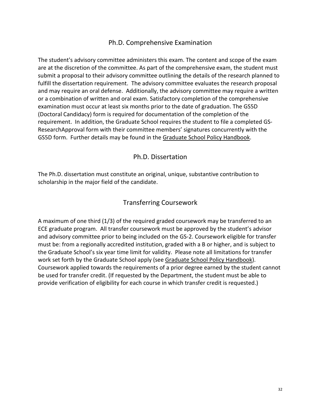#### Ph.D. Comprehensive Examination

<span id="page-31-0"></span>The student's advisory committee administers this exam. The content and scope of the exam are at the discretion of the committee. As part of the comprehensive exam, the student must submit a proposal to their advisory committee outlining the details of the research planned to fulfill the dissertation requirement. The advisory committee evaluates the research proposal and may require an oral defense. Additionally, the advisory committee may require a written or a combination of written and oral exam. Satisfactory completion of the comprehensive examination must occur at least six months prior to the date of graduation. The GS5D (Doctoral Candidacy) form is required for documentation of the completion of the requirement. In addition, the Graduate School requires the student to file a completed GS-ResearchApproval form with their committee members' signatures concurrently with the GS5D form. Further details may be found in the [Graduate School Policy Handbook.](https://www.clemson.edu/graduate/students/policies-procedures/index.html)

Ph.D. Dissertation

<span id="page-31-1"></span>The Ph.D. dissertation must constitute an original, unique, substantive contribution to scholarship in the major field of the candidate.

#### Transferring Coursework

<span id="page-31-2"></span>A maximum of one third (1/3) of the required graded coursework may be transferred to an ECE graduate program. All transfer coursework must be approved by the student's advisor and advisory committee prior to being included on the GS-2. Coursework eligible for transfer must be: from a regionally accredited institution, graded with a B or higher, and is subject to the Graduate School's six year time limit for validity. Please note all limitations for transfer work set forth by the Graduate School apply (see [Graduate School Policy Handbook\)](https://www.clemson.edu/graduate/students/policies-procedures/index.html). Coursework applied towards the requirements of a prior degree earned by the student cannot be used for transfer credit. (If requested by the Department, the student must be able to provide verification of eligibility for each course in which transfer credit is requested.)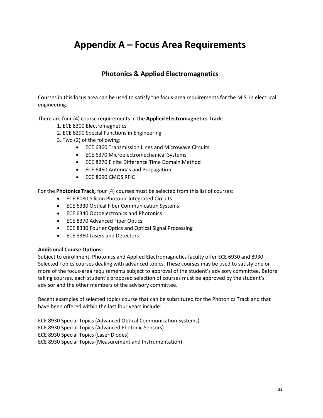# <span id="page-32-0"></span>**Appendix A – Focus Area Requirements**

# **Photonics & Applied Electromagnetics**

Courses in this focus area can be used to satisfy the focus-area requirements for the M.S. in electrical engineering.

There are four (4) course requirements in the **Applied Electromagnetics Track**:

- 1. ECE 8300 Electromagnetics
- 2. ECE 8290 Special Functions in Engineering
- 3. Two (2) of the following:
	- ECE 6360 Transmission Lines and Microwave Circuits
	- ECE 6370 Microelectromechanical Systems
	- ECE 8270 Finite Difference Time Domain Method
	- ECE 6460 Antennas and Propagation
	- ECE 8090 CMOS RFIC

For the **Photonics Track,** four (4) courses must be selected from this list of courses:

- ECE 6080 Silicon Photonic Integrated Circuits
- ECE 6330 Optical Fiber Communication Systems
- ECE 6340 Optoelectronics and Photonics
- ECE 8370 Advanced Fiber Optics
- ECE 8330 Fourier Optics and Optical Signal Processing
- ECE 8360 Lasers and Detectors

#### **Additional Course Options:**

Subject to enrollment, Photonics and Applied Electromagnetics faculty offer ECE 6930 and 8930 Selected Topics courses dealing with advanced topics. These courses may be used to satisfy one or more of the focus-area requirements subject to approval of the student's advisory committee. Before taking courses, each student's proposed selection of courses must be approved by the student's advisor and the other members of the advisory committee.

Recent examples of selected topics course that can be substituted for the Photonics Track and that have been offered within the last four years include:

ECE 8930 Special Topics (Advanced Optical Communication Systems) ECE 8930 Special Topics (Advanced Photonic Sensors) ECE 8930 Special Topics (Laser Diodes) ECE 8930 Special Topics (Measurement and Instrumentation)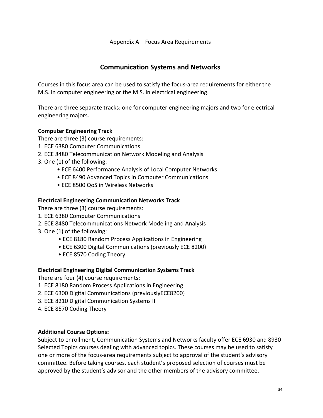Appendix A – Focus Area Requirements

#### **Communication Systems and Networks**

Courses in this focus area can be used to satisfy the focus-area requirements for either the M.S. in computer engineering or the M.S. in electrical engineering.

There are three separate tracks: one for computer engineering majors and two for electrical engineering majors.

#### **Computer Engineering Track**

There are three (3) course requirements:

- 1. ECE 6380 Computer Communications
- 2. ECE 8480 Telecommunication Network Modeling and Analysis
- 3. One (1) of the following:
	- ECE 6400 Performance Analysis of Local Computer Networks
	- ECE 8490 Advanced Topics in Computer Communications
	- ECE 8500 QoS in Wireless Networks

#### **Electrical Engineering Communication Networks Track**

There are three (3) course requirements:

- 1. ECE 6380 Computer Communications
- 2. ECE 8480 Telecommunications Network Modeling and Analysis
- 3. One (1) of the following:
	- ECE 8180 Random Process Applications in Engineering
	- ECE 6300 Digital Communications (previously ECE 8200)
	- ECE 8570 Coding Theory

#### **Electrical Engineering Digital Communication Systems Track**

There are four (4) course requirements:

- 1. ECE 8180 Random Process Applications in Engineering
- 2. ECE 6300 Digital Communications (previouslyECE8200)
- 3. ECE 8210 Digital Communication Systems II
- 4. ECE 8570 Coding Theory

#### **Additional Course Options:**

Subject to enrollment, Communication Systems and Networks faculty offer ECE 6930 and 8930 Selected Topics courses dealing with advanced topics. These courses may be used to satisfy one or more of the focus-area requirements subject to approval of the student's advisory committee. Before taking courses, each student's proposed selection of courses must be approved by the student's advisor and the other members of the advisory committee.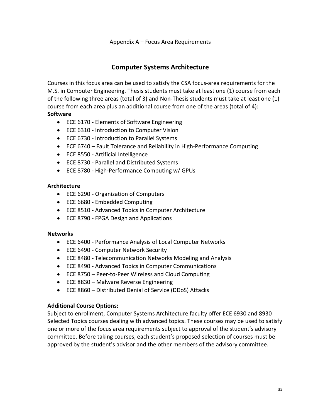#### **Computer Systems Architecture**

Courses in this focus area can be used to satisfy the CSA focus-area requirements for the M.S. in Computer Engineering. Thesis students must take at least one (1) course from each of the following three areas (total of 3) and Non-Thesis students must take at least one (1) course from each area plus an additional course from one of the areas (total of 4): **Software**

- ECE 6170 Elements of Software Engineering
- ECE 6310 Introduction to Computer Vision
- ECE 6730 Introduction to Parallel Systems
- ECE 6740 Fault Tolerance and Reliability in High-Performance Computing
- ECE 8550 Artificial Intelligence
- ECE 8730 Parallel and Distributed Systems
- ECE 8780 High-Performance Computing w/ GPUs

#### **Architecture**

- ECE 6290 Organization of Computers
- ECE 6680 Embedded Computing
- ECE 8510 Advanced Topics in Computer Architecture
- ECE 8790 FPGA Design and Applications

#### **Networks**

- ECE 6400 Performance Analysis of Local Computer Networks
- ECE 6490 Computer Network Security
- ECE 8480 Telecommunication Networks Modeling and Analysis
- ECE 8490 Advanced Topics in Computer Communications
- ECE 8750 Peer-to-Peer Wireless and Cloud Computing
- ECE 8830 Malware Reverse Engineering
- ECE 8860 Distributed Denial of Service (DDoS) Attacks

#### **Additional Course Options:**

Subject to enrollment, Computer Systems Architecture faculty offer ECE 6930 and 8930 Selected Topics courses dealing with advanced topics. These courses may be used to satisfy one or more of the focus area requirements subject to approval of the student's advisory committee. Before taking courses, each student's proposed selection of courses must be approved by the student's advisor and the other members of the advisory committee.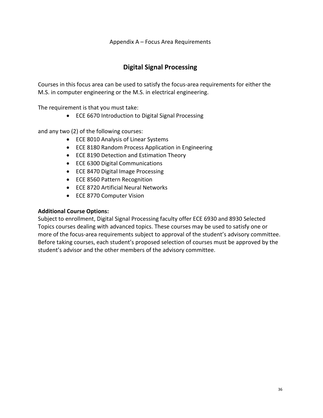# **Digital Signal Processing**

Courses in this focus area can be used to satisfy the focus-area requirements for either the M.S. in computer engineering or the M.S. in electrical engineering.

The requirement is that you must take:

• ECE 6670 Introduction to Digital Signal Processing

and any two (2) of the following courses:

- ECE 8010 Analysis of Linear Systems
- ECE 8180 Random Process Application in Engineering
- ECE 8190 Detection and Estimation Theory
- ECE 6300 Digital Communications
- ECE 8470 Digital Image Processing
- ECE 8560 Pattern Recognition
- ECE 8720 Artificial Neural Networks
- ECE 8770 Computer Vision

#### **Additional Course Options:**

Subject to enrollment, Digital Signal Processing faculty offer ECE 6930 and 8930 Selected Topics courses dealing with advanced topics. These courses may be used to satisfy one or more of the focus-area requirements subject to approval of the student's advisory committee. Before taking courses, each student's proposed selection of courses must be approved by the student's advisor and the other members of the advisory committee.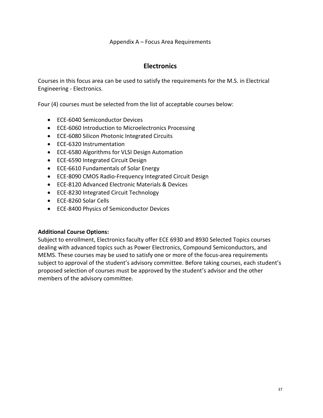#### **Electronics**

Courses in this focus area can be used to satisfy the requirements for the M.S. in Electrical Engineering - Electronics.

Four (4) courses must be selected from the list of acceptable courses below:

- ECE-6040 Semiconductor Devices
- ECE-6060 Introduction to Microelectronics Processing
- ECE-6080 Silicon Photonic Integrated Circuits
- ECE-6320 Instrumentation
- ECE-6580 Algorithms for VLSI Design Automation
- ECE-6590 Integrated Circuit Design
- ECE-6610 Fundamentals of Solar Energy
- ECE-8090 CMOS Radio-Frequency Integrated Circuit Design
- ECE-8120 Advanced Electronic Materials & Devices
- ECE-8230 Integrated Circuit Technology
- ECE-8260 Solar Cells
- ECE-8400 Physics of Semiconductor Devices

#### **Additional Course Options:**

Subject to enrollment, Electronics faculty offer ECE 6930 and 8930 Selected Topics courses dealing with advanced topics such as Power Electronics, Compound Semiconductors, and MEMS. These courses may be used to satisfy one or more of the focus-area requirements subject to approval of the student's advisory committee. Before taking courses, each student's proposed selection of courses must be approved by the student's advisor and the other members of the advisory committee.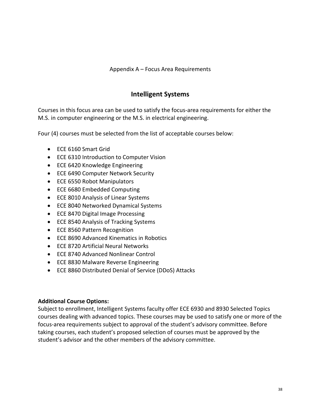#### Appendix A – Focus Area Requirements

#### **Intelligent Systems**

Courses in this focus area can be used to satisfy the focus-area requirements for either the M.S. in computer engineering or the M.S. in electrical engineering.

Four (4) courses must be selected from the list of acceptable courses below:

- ECE 6160 Smart Grid
- ECE 6310 Introduction to Computer Vision
- ECE 6420 Knowledge Engineering
- ECE 6490 Computer Network Security
- ECE 6550 Robot Manipulators
- ECE 6680 Embedded Computing
- ECE 8010 Analysis of Linear Systems
- ECE 8040 Networked Dynamical Systems
- ECE 8470 Digital Image Processing
- ECE 8540 Analysis of Tracking Systems
- ECE 8560 Pattern Recognition
- ECE 8690 Advanced Kinematics in Robotics
- ECE 8720 Artificial Neural Networks
- ECE 8740 Advanced Nonlinear Control
- ECE 8830 Malware Reverse Engineering
- ECE 8860 Distributed Denial of Service (DDoS) Attacks

#### **Additional Course Options:**

Subject to enrollment, Intelligent Systems faculty offer ECE 6930 and 8930 Selected Topics courses dealing with advanced topics. These courses may be used to satisfy one or more of the focus-area requirements subject to approval of the student's advisory committee. Before taking courses, each student's proposed selection of courses must be approved by the student's advisor and the other members of the advisory committee.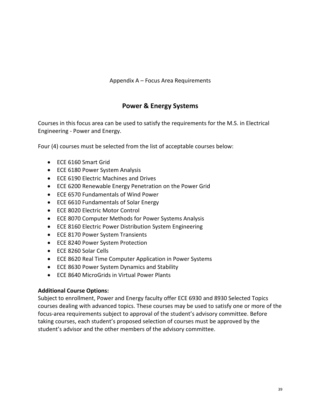Appendix A – Focus Area Requirements

# **Power & Energy Systems**

Courses in this focus area can be used to satisfy the requirements for the M.S. in Electrical Engineering - Power and Energy.

Four (4) courses must be selected from the list of acceptable courses below:

- ECE 6160 Smart Grid
- ECE 6180 Power System Analysis
- ECE 6190 Electric Machines and Drives
- ECE 6200 Renewable Energy Penetration on the Power Grid
- ECE 6570 Fundamentals of Wind Power
- ECE 6610 Fundamentals of Solar Energy
- ECE 8020 Electric Motor Control
- ECE 8070 Computer Methods for Power Systems Analysis
- ECE 8160 Electric Power Distribution System Engineering
- ECE 8170 Power System Transients
- ECE 8240 Power System Protection
- ECE 8260 Solar Cells
- ECE 8620 Real Time Computer Application in Power Systems
- ECE 8630 Power System Dynamics and Stability
- ECE 8640 MicroGrids in Virtual Power Plants

#### **Additional Course Options:**

Subject to enrollment, Power and Energy faculty offer ECE 6930 and 8930 Selected Topics courses dealing with advanced topics. These courses may be used to satisfy one or more of the focus-area requirements subject to approval of the student's advisory committee. Before taking courses, each student's proposed selection of courses must be approved by the student's advisor and the other members of the advisory committee.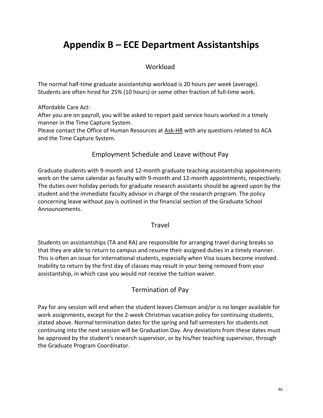## **Workload**

<span id="page-39-0"></span>The normal half-time graduate assistantship workload is 20 hours per week (average). Students are often hired for 25% (10 hours) or some other fraction of full-time work.

Affordable Care Act:

After you are on payroll, you will be asked to report paid service hours worked in a timely manner in the Time Capture System.

Please contact the Office of Human Resources at [Ask-HR](https://www.clemson.edu/employment/contact_hr/) with any questions related to ACA and the Time Capture System.

## Employment Schedule and Leave without Pay

Graduate students with 9-month and 12-month graduate teaching assistantship appointments work on the same calendar as faculty with 9-month and 12-month appointments, respectively. The duties over holiday periods for graduate research assistants should be agreed upon by the student and the immediate faculty advisor in charge of the research program. The policy concerning leave without pay is outlined in the financial section of the Graduate School Announcements.

#### **Travel**

Students on assistantships (TA and RA) are responsible for arranging travel during breaks so that they are able to return to campus and resume their assigned duties in a timely manner. This is often an issue for international students, especially when Visa issues become involved. Inability to return by the first day of classes may result in your being removed from your assistantship, in which case you would not receive the tuition waiver.

# Termination of Pay

Pay for any session will end when the student leaves Clemson and/or is no longer available for work assignments, except for the 2-week Christmas vacation policy for continuing students, stated above. Normal termination dates for the spring and fall semesters for students not continuing into the next session will be Graduation Day. Any deviations from these dates must be approved by the student's research supervisor, or by his/her teaching supervisor, through the Graduate Program Coordinator.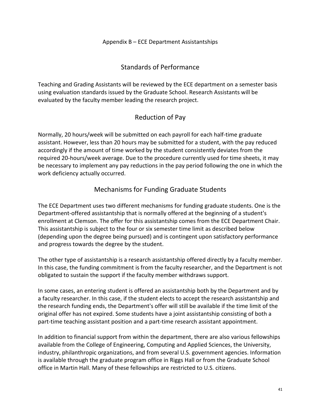#### Standards of Performance

Teaching and Grading Assistants will be reviewed by the ECE department on a semester basis using evaluation standards issued by the Graduate School. Research Assistants will be evaluated by the faculty member leading the research project.

#### Reduction of Pay

Normally, 20 hours/week will be submitted on each payroll for each half-time graduate assistant. However, less than 20 hours may be submitted for a student, with the pay reduced accordingly if the amount of time worked by the student consistently deviates from the required 20-hours/week average. Due to the procedure currently used for time sheets, it may be necessary to implement any pay reductions in the pay period following the one in which the work deficiency actually occurred.

## Mechanisms for Funding Graduate Students

The ECE Department uses two different mechanisms for funding graduate students. One is the Department-offered assistantship that is normally offered at the beginning of a student's enrollment at Clemson. The offer for this assistantship comes from the ECE Department Chair. This assistantship is subject to the four or six semester time limit as described below (depending upon the degree being pursued) and is contingent upon satisfactory performance and progress towards the degree by the student.

The other type of assistantship is a research assistantship offered directly by a faculty member. In this case, the funding commitment is from the faculty researcher, and the Department is not obligated to sustain the support if the faculty member withdraws support.

In some cases, an entering student is offered an assistantship both by the Department and by a faculty researcher. In this case, if the student elects to accept the research assistantship and the research funding ends, the Department's offer will still be available if the time limit of the original offer has not expired. Some students have a joint assistantship consisting of both a part-time teaching assistant position and a part-time research assistant appointment.

In addition to financial support from within the department, there are also various fellowships available from the College of Engineering, Computing and Applied Sciences, the University, industry, philanthropic organizations, and from several U.S. government agencies. Information is available through the graduate program office in Riggs Hall or from the Graduate School office in Martin Hall. Many of these fellowships are restricted to U.S. citizens.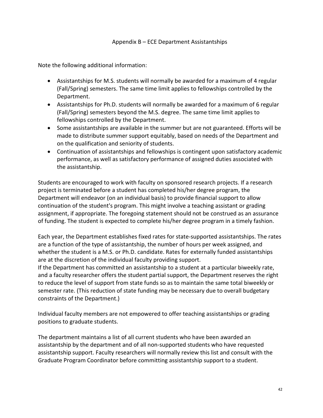Note the following additional information:

- Assistantships for M.S. students will normally be awarded for a maximum of 4 regular (Fall/Spring) semesters. The same time limit applies to fellowships controlled by the Department.
- Assistantships for Ph.D. students will normally be awarded for a maximum of 6 regular (Fall/Spring) semesters beyond the M.S. degree. The same time limit applies to fellowships controlled by the Department.
- Some assistantships are available in the summer but are not guaranteed. Efforts will be made to distribute summer support equitably, based on needs of the Department and on the qualification and seniority of students.
- Continuation of assistantships and fellowships is contingent upon satisfactory academic performance, as well as satisfactory performance of assigned duties associated with the assistantship.

Students are encouraged to work with faculty on sponsored research projects. If a research project is terminated before a student has completed his/her degree program, the Department will endeavor (on an individual basis) to provide financial support to allow continuation of the student's program. This might involve a teaching assistant or grading assignment, if appropriate. The foregoing statement should not be construed as an assurance of funding. The student is expected to complete his/her degree program in a timely fashion.

Each year, the Department establishes fixed rates for state-supported assistantships. The rates are a function of the type of assistantship, the number of hours per week assigned, and whether the student is a M.S. or Ph.D. candidate. Rates for externally funded assistantships are at the discretion of the individual faculty providing support.

If the Department has committed an assistantship to a student at a particular biweekly rate, and a faculty researcher offers the student partial support, the Department reserves the right to reduce the level of support from state funds so as to maintain the same total biweekly or semester rate. (This reduction of state funding may be necessary due to overall budgetary constraints of the Department.)

Individual faculty members are not empowered to offer teaching assistantships or grading positions to graduate students.

The department maintains a list of all current students who have been awarded an assistantship by the department and of all non-supported students who have requested assistantship support. Faculty researchers will normally review this list and consult with the Graduate Program Coordinator before committing assistantship support to a student.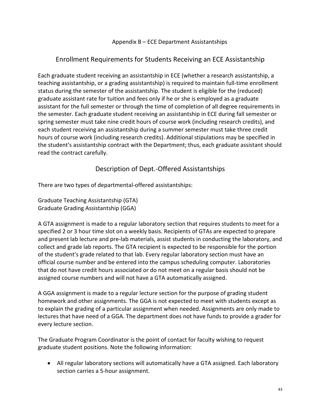#### Enrollment Requirements for Students Receiving an ECE Assistantship

Each graduate student receiving an assistantship in ECE (whether a research assistantship, a teaching assistantship, or a grading assistantship) is required to maintain full-time enrollment status during the semester of the assistantship. The student is eligible for the (reduced) graduate assistant rate for tuition and fees only if he or she is employed as a graduate assistant for the full semester or through the time of completion of all degree requirements in the semester. Each graduate student receiving an assistantship in ECE during fall semester or spring semester must take nine credit hours of course work (including research credits), and each student receiving an assistantship during a summer semester must take three credit hours of course work (including research credits). Additional stipulations may be specified in the student's assistantship contract with the Department; thus, each graduate assistant should read the contract carefully.

## Description of Dept.-Offered Assistantships

There are two types of departmental-offered assistantships:

Graduate Teaching Assistantship (GTA) Graduate Grading Assistantship (GGA)

A GTA assignment is made to a regular laboratory section that requires students to meet for a specified 2 or 3 hour time slot on a weekly basis. Recipients of GTAs are expected to prepare and present lab lecture and pre-lab materials, assist students in conducting the laboratory, and collect and grade lab reports. The GTA recipient is expected to be responsible for the portion of the student's grade related to that lab. Every regular laboratory section must have an official course number and be entered into the campus scheduling computer. Laboratories that do not have credit hours associated or do not meet on a regular basis should not be assigned course numbers and will not have a GTA automatically assigned.

A GGA assignment is made to a regular lecture section for the purpose of grading student homework and other assignments. The GGA is not expected to meet with students except as to explain the grading of a particular assignment when needed. Assignments are only made to lectures that have need of a GGA. The department does not have funds to provide a grader for every lecture section.

The Graduate Program Coordinator is the point of contact for faculty wishing to request graduate student positions. Note the following information:

• All regular laboratory sections will automatically have a GTA assigned. Each laboratory section carries a 5-hour assignment.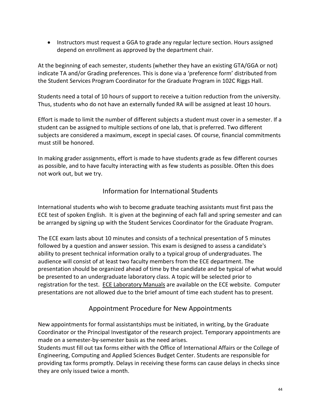• Instructors must request a GGA to grade any regular lecture section. Hours assigned depend on enrollment as approved by the department chair.

At the beginning of each semester, students (whether they have an existing GTA/GGA or not) indicate TA and/or Grading preferences. This is done via a 'preference form' distributed from the Student Services Program Coordinator for the Graduate Program in 102C Riggs Hall.

Students need a total of 10 hours of support to receive a tuition reduction from the university. Thus, students who do not have an externally funded RA will be assigned at least 10 hours.

Effort is made to limit the number of different subjects a student must cover in a semester. If a student can be assigned to multiple sections of one lab, that is preferred. Two different subjects are considered a maximum, except in special cases. Of course, financial commitments must still be honored.

In making grader assignments, effort is made to have students grade as few different courses as possible, and to have faculty interacting with as few students as possible. Often this does not work out, but we try.

# Information for International Students

International students who wish to become graduate teaching assistants must first pass the ECE test of spoken English. It is given at the beginning of each fall and spring semester and can be arranged by signing up with the Student Services Coordinator for the Graduate Program.

The ECE exam lasts about 10 minutes and consists of a technical presentation of 5 minutes followed by a question and answer session. This exam is designed to assess a candidate's ability to present technical information orally to a typical group of undergraduates. The audience will consist of at least two faculty members from the ECE department. The presentation should be organized ahead of time by the candidate and be typical of what would be presented to an undergraduate laboratory class. A topic will be selected prior to registration for the test. [ECE Laboratory Manuals](http://www.clemson.edu/ces/departments/ece/resources/lab_manuals.html) are available on the ECE website. Computer presentations are not allowed due to the brief amount of time each student has to present.

## Appointment Procedure for New Appointments

New appointments for formal assistantships must be initiated, in writing, by the Graduate Coordinator or the Principal Investigator of the research project. Temporary appointments are made on a semester-by-semester basis as the need arises.

Students must fill out tax forms either with the Office of International Affairs or the College of Engineering, Computing and Applied Sciences Budget Center. Students are responsible for providing tax forms promptly. Delays in receiving these forms can cause delays in checks since they are only issued twice a month.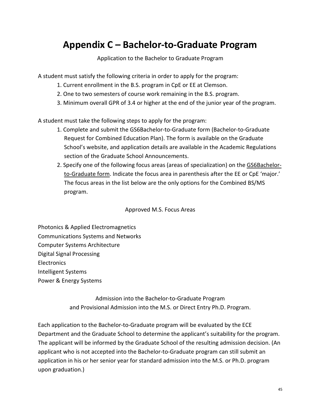# <span id="page-44-0"></span>**Appendix C – Bachelor-to-Graduate Program**

#### Application to the Bachelor to Graduate Program

A student must satisfy the following criteria in order to apply for the program:

- 1. Current enrollment in the B.S. program in CpE or EE at Clemson.
- 2. One to two semesters of course work remaining in the B.S. program.
- 3. Minimum overall GPR of 3.4 or higher at the end of the junior year of the program.

A student must take the following steps to apply for the program:

- 1. Complete and submit the GS6Bachelor-to-Graduate form (Bachelor-to-Graduate Request for Combined Education Plan). The form is available on the Graduate School's website, and application details are available in the Academic Regulations section of the Graduate School Announcements.
- 2. Specify one of the following focus areas (areas of specialization) on the [GS6Bachelor](https://www.clemson.edu/graduate/files/pdfs/GS6-bachelor-to-graduate.pdf)[to-Graduate](https://www.clemson.edu/graduate/files/pdfs/GS6-bachelor-to-graduate.pdf) form. Indicate the focus area in parenthesis after the EE or CpE 'major.' The focus areas in the list below are the only options for the Combined BS/MS program.

Approved M.S. Focus Areas

Photonics & Applied Electromagnetics Communications Systems and Networks Computer Systems Architecture Digital Signal Processing **Electronics** Intelligent Systems Power & Energy Systems

> Admission into the Bachelor-to-Graduate Program and Provisional Admission into the M.S. or Direct Entry Ph.D. Program.

Each application to the Bachelor-to-Graduate program will be evaluated by the ECE Department and the Graduate School to determine the applicant's suitability for the program. The applicant will be informed by the Graduate School of the resulting admission decision. (An applicant who is not accepted into the Bachelor-to-Graduate program can still submit an application in his or her senior year for standard admission into the M.S. or Ph.D. program upon graduation.)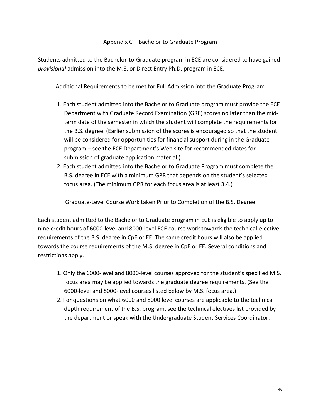#### Appendix C – Bachelor to Graduate Program

Students admitted to the Bachelor-to-Graduate program in ECE are considered to have gained *provisional* admission into the M.S. or Direct Entry Ph.D. program in ECE.

Additional Requirements to be met for Full Admission into the Graduate Program

- 1. Each student admitted into the Bachelor to Graduate program must provide the ECE Department with Graduate Record Examination (GRE) scores no later than the midterm date of the semester in which the student will complete the requirements for the B.S. degree. (Earlier submission of the scores is encouraged so that the student will be considered for opportunities for financial support during in the Graduate program – see the ECE Department's Web site for recommended dates for submission of graduate application material.)
- 2. Each student admitted into the Bachelor to Graduate Program must complete the B.S. degree in ECE with a minimum GPR that depends on the student's selected focus area. (The minimum GPR for each focus area is at least 3.4.)

Graduate-Level Course Work taken Prior to Completion of the B.S. Degree

Each student admitted to the Bachelor to Graduate program in ECE is eligible to apply up to nine credit hours of 6000-level and 8000-level ECE course work towards the technical-elective requirements of the B.S. degree in CpE or EE. The same credit hours will also be applied towards the course requirements of the M.S. degree in CpE or EE. Several conditions and restrictions apply.

- 1. Only the 6000-level and 8000-level courses approved for the student's specified M.S. focus area may be applied towards the graduate degree requirements. (See the 6000-level and 8000-level courses listed below by M.S. focus area.)
- 2. For questions on what 6000 and 8000 level courses are applicable to the technical depth requirement of the B.S. program, see the technical electives list provided by the department or speak with the Undergraduate Student Services Coordinator.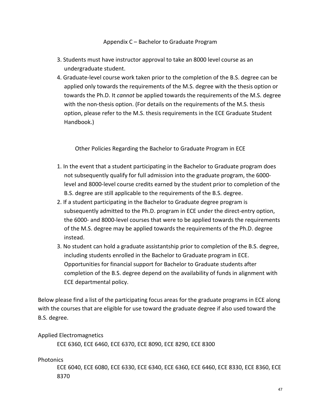#### Appendix C – Bachelor to Graduate Program

- 3. Students must have instructor approval to take an 8000 level course as an undergraduate student.
- 4. Graduate-level course work taken prior to the completion of the B.S. degree can be applied only towards the requirements of the M.S. degree with the thesis option or towards the Ph.D. It *cannot* be applied towards the requirements of the M.S. degree with the non-thesis option. (For details on the requirements of the M.S. thesis option, please refer to the M.S. thesis requirements in the ECE Graduate Student Handbook.)

Other Policies Regarding the Bachelor to Graduate Program in ECE

- 1. In the event that a student participating in the Bachelor to Graduate program does not subsequently qualify for full admission into the graduate program, the 6000 level and 8000-level course credits earned by the student prior to completion of the B.S. degree are still applicable to the requirements of the B.S. degree.
- 2. If a student participating in the Bachelor to Graduate degree program is subsequently admitted to the Ph.D. program in ECE under the direct-entry option, the 6000- and 8000-level courses that were to be applied towards the requirements of the M.S. degree may be applied towards the requirements of the Ph.D. degree instead.
- 3. No student can hold a graduate assistantship prior to completion of the B.S. degree, including students enrolled in the Bachelor to Graduate program in ECE. Opportunities for financial support for Bachelor to Graduate students after completion of the B.S. degree depend on the availability of funds in alignment with ECE departmental policy.

Below please find a list of the participating focus areas for the graduate programs in ECE along with the courses that are eligible for use toward the graduate degree if also used toward the B.S. degree.

#### Applied Electromagnetics

ECE 6360, ECE 6460, ECE 6370, ECE 8090, ECE 8290, ECE 8300

#### **Photonics**

ECE 6040, ECE 6080, ECE 6330, ECE 6340, ECE 6360, ECE 6460, ECE 8330, ECE 8360, ECE 8370